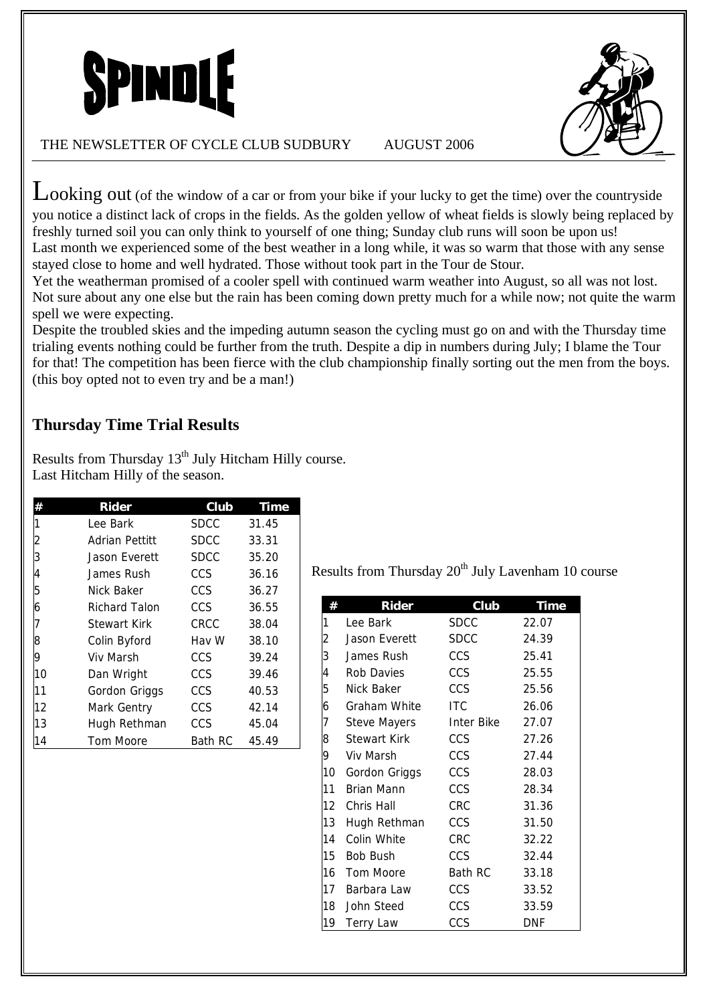



THE NEWSLETTER OF CYCLE CLUB SUDBURY AUGUST 2006

Looking out (of the window of a car or from your bike if your lucky to get the time) over the countryside you notice a distinct lack of crops in the fields. As the golden yellow of wheat fields is slowly being replaced by freshly turned soil you can only think to yourself of one thing; Sunday club runs will soon be upon us! Last month we experienced some of the best weather in a long while, it was so warm that those with any sense stayed close to home and well hydrated. Those without took part in the Tour de Stour.

Yet the weatherman promised of a cooler spell with continued warm weather into August, so all was not lost. Not sure about any one else but the rain has been coming down pretty much for a while now; not quite the warm spell we were expecting.

Despite the troubled skies and the impeding autumn season the cycling must go on and with the Thursday time trialing events nothing could be further from the truth. Despite a dip in numbers during July; I blame the Tour for that! The competition has been fierce with the club championship finally sorting out the men from the boys. (this boy opted not to even try and be a man!)

# **Thursday Time Trial Results**

|    | Rider                | Club        | <b>Time</b> |
|----|----------------------|-------------|-------------|
|    | Lee Bark             | SDCC        | 31.45       |
| 2  | Adrian Pettitt       | <b>SDCC</b> | 33.31       |
| 3  | Jason Everett        | <b>SDCC</b> | 35.20       |
| 4  | James Rush           | CCS.        | 36.16       |
| 5  | Nick Baker           | CCS.        | 36.27       |
| 6  | <b>Richard Talon</b> | <b>CCS</b>  | 36.55       |
| 7  | <b>Stewart Kirk</b>  | CRCC        | 38.04       |
| 8  | Colin Byford         | Hav W       | 38.10       |
| 9  | Viv Marsh            | CCS         | 39.24       |
| 10 | Dan Wright           | CCS.        | 39.46       |
| 11 | Gordon Griggs        | <b>CCS</b>  | 40.53       |
| 12 | Mark Gentry          | CCS.        | 42.14       |
| 13 | Hugh Rethman         | <b>CCS</b>  | 45.04       |
| 14 | <b>Tom Moore</b>     | Bath RC     | 45.49       |

Results from Thursday 13<sup>th</sup> July Hitcham Hilly course. Last Hitcham Hilly of the season.

Results from Thursday  $20<sup>th</sup>$  July Lavenham 10 course

|                  | Rider               | Club        | <b>Time</b> |
|------------------|---------------------|-------------|-------------|
| 1                | Lee Bark            | <b>SDCC</b> | 22.07       |
| 2                | Jason Everett       | <b>SDCC</b> | 24.39       |
| 3                | James Rush          | <b>CCS</b>  | 25.41       |
| 4                | <b>Rob Davies</b>   | <b>CCS</b>  | 25.55       |
| 5                | Nick Baker          | <b>CCS</b>  | 25.56       |
| 6                | Graham White        | <b>ITC</b>  | 26.06       |
| 7                | Steve Mayers        | Inter Bike  | 27.07       |
| 8                | <b>Stewart Kirk</b> | CCS         | 27.26       |
| 9                | Viv Marsh           | <b>CCS</b>  | 27.44       |
| 10               | Gordon Griggs       | <b>CCS</b>  | 28.03       |
| 11               | Brian Mann          | CCS         | 28.34       |
| 12               | Chris Hall          | <b>CRC</b>  | 31.36       |
| 13               | Hugh Rethman        | <b>CCS</b>  | 31.50       |
| 14               | Colin White         | <b>CRC</b>  | 32.22       |
| 15 <sup>15</sup> | <b>Bob Bush</b>     | <b>CCS</b>  | 32.44       |
| 16               | Tom Moore           | Bath RC     | 33.18       |
| 17               | Barbara Law         | <b>CCS</b>  | 33.52       |
| 18               | John Steed          | <b>CCS</b>  | 33.59       |
| 19               | <b>Terry Law</b>    | CCS         | DNF         |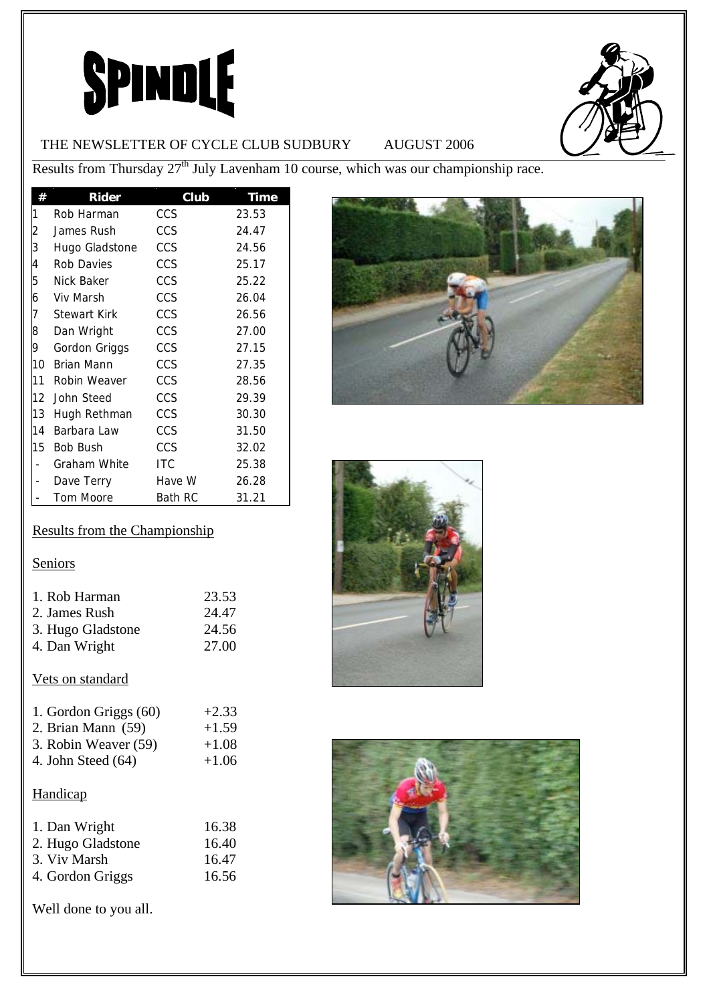# **SPINDLE**



# THE NEWSLETTER OF CYCLE CLUB SUDBURY AUGUST 2006

Results from Thursday  $27<sup>th</sup>$  July Lavenham 10 course, which was our championship race.

| #              | Rider               | Club       | <b>Time</b> |
|----------------|---------------------|------------|-------------|
| 1              | Rob Harman          | CCS        | 23.53       |
| $\overline{c}$ | James Rush          | <b>CCS</b> | 24.47       |
| 3              | Hugo Gladstone      | CCS        | 24.56       |
| 4              | Rob Davies          | <b>CCS</b> | 25.17       |
| 5              | Nick Baker          | CCS        | 25.22       |
| 6              | Viv Marsh           | CCS        | 26.04       |
| 7              | <b>Stewart Kirk</b> | CCS        | 26.56       |
| 8              | Dan Wright          | CCS        | 27.00       |
| 9              | Gordon Griggs       | CCS        | 27.15       |
| 10             | Brian Mann          | <b>CCS</b> | 27.35       |
| 11             | Robin Weaver        | <b>CCS</b> | 28.56       |
| 12             | John Steed          | CCS        | 29.39       |
| 13             | Hugh Rethman        | CCS        | 30.30       |
| 14             | Barbara Law         | CCS        | 31.50       |
| 15             | <b>Bob Bush</b>     | <b>CCS</b> | 32.02       |
|                | Graham White        | <b>ITC</b> | 25.38       |
|                | Dave Terry          | Have W     | 26.28       |
|                | <b>Tom Moore</b>    | Bath RC    | 31.21       |

# Results from the Championship

# **Seniors**

| 23.53 |
|-------|
| 24.47 |
| 24.56 |
| 27.00 |
|       |

# Vets on standard

| 1. Gordon Griggs (60) | $+2.33$ |
|-----------------------|---------|
| 2. Brian Mann $(59)$  | $+1.59$ |
| 3. Robin Weaver (59)  | $+1.08$ |
| 4. John Steed $(64)$  | $+1.06$ |

# **Handicap**

| 1. Dan Wright     | 16.38 |
|-------------------|-------|
| 2. Hugo Gladstone | 16.40 |
| 3. Viv Marsh      | 16.47 |
| 4. Gordon Griggs  | 16.56 |

Well done to you all.





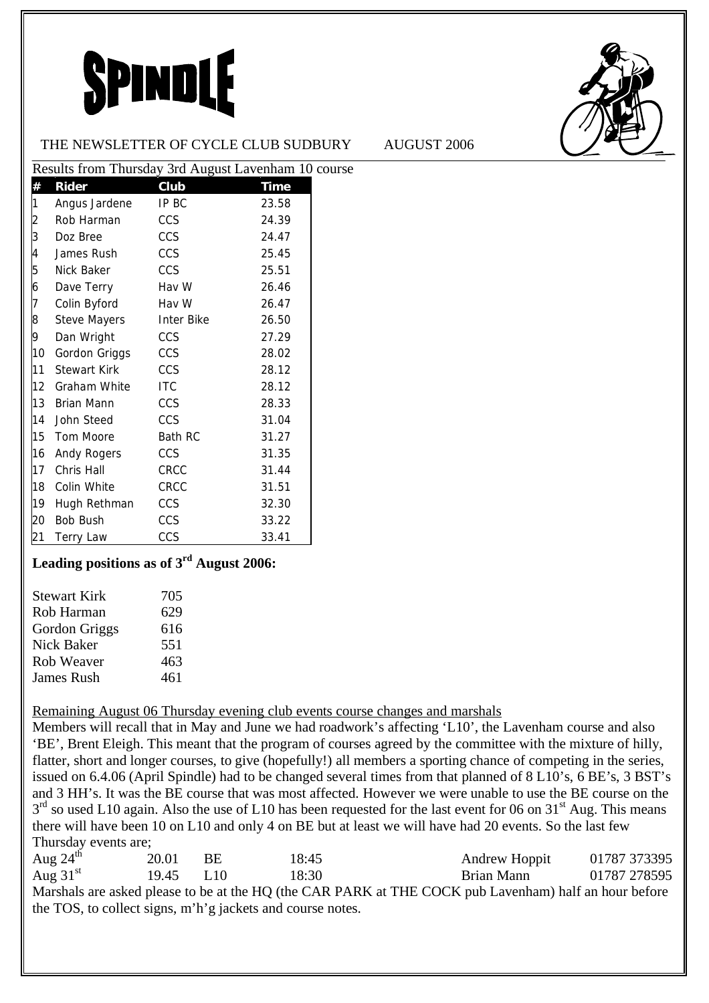# SPINDLE



### THE NEWSLETTER OF CYCLE CLUB SUDBURY AUGUST 2006

| Results from Thursday 3rd August Lavenham 10 course |                         |            |             |  |
|-----------------------------------------------------|-------------------------|------------|-------------|--|
| #                                                   | <b>Rider</b>            | Club       | <b>Time</b> |  |
| 1                                                   | Angus Jardene           | IP BC      | 23.58       |  |
| $\overline{\mathbf{c}}$                             | Rob Harman              | CCS        | 24.39       |  |
| 3                                                   | Doz Bree                | CCS        | 24.47       |  |
| 4                                                   | James Rush              | CCS        | 25.45       |  |
| 5                                                   | Nick Baker              | <b>CCS</b> | 25.51       |  |
| 6                                                   | Dave Terry              | Hav W      | 26.46       |  |
| 7                                                   | Colin Byford            | Hav W      | 26.47       |  |
| 8                                                   | Steve Mayers Inter Bike |            | 26.50       |  |
| 9                                                   | Dan Wright              | <b>CCS</b> | 27.29       |  |
| 10                                                  | Gordon Griggs CCS       |            | 28.02       |  |
| 11                                                  | Stewart Kirk            | CCS        | 28.12       |  |
| 12                                                  | Graham White ITC        |            | 28.12       |  |
| 13                                                  | Brian Mann              | <b>CCS</b> | 28.33       |  |
| 14                                                  | John Steed              | CCS        | 31.04       |  |
| 15                                                  | Tom Moore               | Bath RC    | 31.27       |  |
| 16                                                  | Andy Rogers CCS         |            | 31.35       |  |
| 17                                                  | Chris Hall              | CRCC       | 31.44       |  |
| 18                                                  | Colin White             | CRCC       | 31.51       |  |
| 19                                                  | Hugh Rethman CCS        |            | 32.30       |  |
| 20                                                  | Bob Bush                | CCS        | 33.22       |  |
| 21                                                  | Terry Law               | CCS        | 33.41       |  |

# **Leading positions as of 3rd August 2006:**

| <b>Stewart Kirk</b> | 705 |
|---------------------|-----|
| Rob Harman          | 629 |
| Gordon Griggs       | 616 |
| <b>Nick Baker</b>   | 551 |
| Rob Weaver          | 463 |
| <b>James Rush</b>   | 461 |

# Remaining August 06 Thursday evening club events course changes and marshals

Members will recall that in May and June we had roadwork's affecting 'L10', the Lavenham course and also 'BE', Brent Eleigh. This meant that the program of courses agreed by the committee with the mixture of hilly, flatter, short and longer courses, to give (hopefully!) all members a sporting chance of competing in the series, issued on 6.4.06 (April Spindle) had to be changed several times from that planned of 8 L10's, 6 BE's, 3 BST's and 3 HH's. It was the BE course that was most affected. However we were unable to use the BE course on the  $3<sup>rd</sup>$  so used L10 again. Also the use of L10 has been requested for the last event for 06 on 31<sup>st</sup> Aug. This means there will have been 10 on L10 and only 4 on BE but at least we will have had 20 events. So the last few Thursday events are;

| Aug $24^{\text{th}}$ | 20.01 | BE.    | 18:45                                                      | Andrew Hoppit                                                                                         | 01787 373395 |
|----------------------|-------|--------|------------------------------------------------------------|-------------------------------------------------------------------------------------------------------|--------------|
| Aug $31st$           | 19.45 | - L 10 | 18:30                                                      | Brian Mann                                                                                            | 01787 278595 |
|                      |       |        |                                                            | Marshals are asked please to be at the HQ (the CAR PARK at THE COCK pub Lavenham) half an hour before |              |
|                      |       |        | the TOS, to collect signs, m'h'g jackets and course notes. |                                                                                                       |              |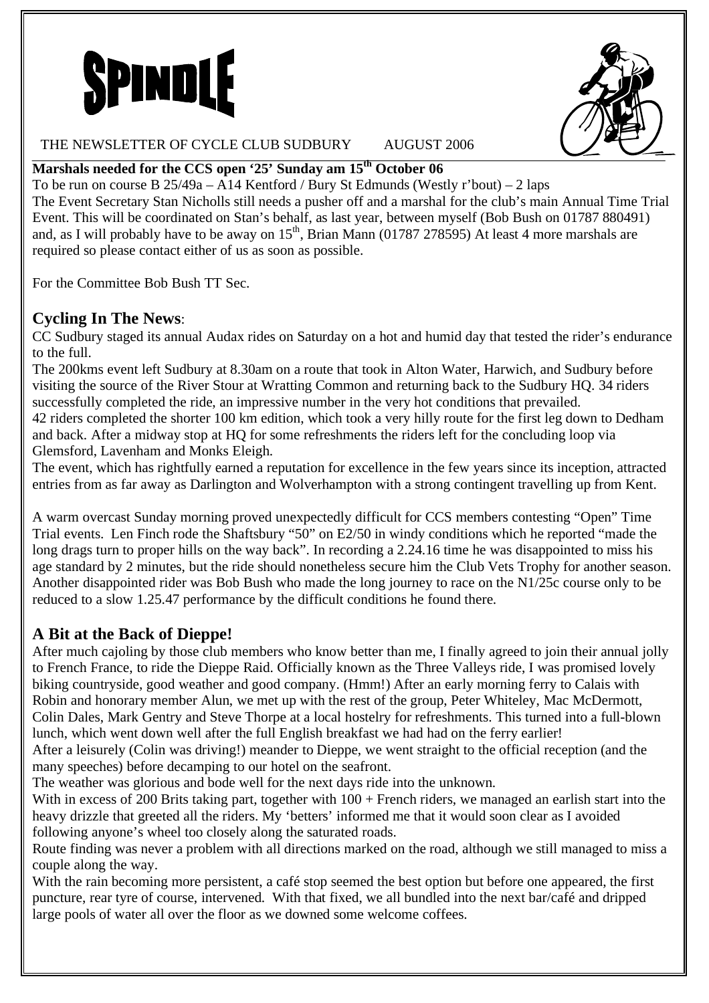



### THE NEWSLETTER OF CYCLE CLUB SUDBURY AUGUST 2006

## **Marshals needed for the CCS open '25' Sunday am 15th October 06**

To be run on course B 25/49a – A14 Kentford / Bury St Edmunds (Westly r'bout) – 2 laps The Event Secretary Stan Nicholls still needs a pusher off and a marshal for the club's main Annual Time Trial Event. This will be coordinated on Stan's behalf, as last year, between myself (Bob Bush on 01787 880491) and, as I will probably have to be away on  $15<sup>th</sup>$ , Brian Mann (01787 278595) At least 4 more marshals are required so please contact either of us as soon as possible.

For the Committee Bob Bush TT Sec.

# **Cycling In The News**:

CC Sudbury staged its annual Audax rides on Saturday on a hot and humid day that tested the rider's endurance to the full.

The 200kms event left Sudbury at 8.30am on a route that took in Alton Water, Harwich, and Sudbury before visiting the source of the River Stour at Wratting Common and returning back to the Sudbury HQ. 34 riders successfully completed the ride, an impressive number in the very hot conditions that prevailed.

42 riders completed the shorter 100 km edition, which took a very hilly route for the first leg down to Dedham and back. After a midway stop at HQ for some refreshments the riders left for the concluding loop via Glemsford, Lavenham and Monks Eleigh.

The event, which has rightfully earned a reputation for excellence in the few years since its inception, attracted entries from as far away as Darlington and Wolverhampton with a strong contingent travelling up from Kent.

A warm overcast Sunday morning proved unexpectedly difficult for CCS members contesting "Open" Time Trial events. Len Finch rode the Shaftsbury "50" on E2/50 in windy conditions which he reported "made the long drags turn to proper hills on the way back". In recording a 2.24.16 time he was disappointed to miss his age standard by 2 minutes, but the ride should nonetheless secure him the Club Vets Trophy for another season. Another disappointed rider was Bob Bush who made the long journey to race on the N1/25c course only to be reduced to a slow 1.25.47 performance by the difficult conditions he found there.

# **A Bit at the Back of Dieppe!**

After much cajoling by those club members who know better than me, I finally agreed to join their annual jolly to French France, to ride the Dieppe Raid. Officially known as the Three Valleys ride, I was promised lovely biking countryside, good weather and good company. (Hmm!) After an early morning ferry to Calais with Robin and honorary member Alun, we met up with the rest of the group, Peter Whiteley, Mac McDermott, Colin Dales, Mark Gentry and Steve Thorpe at a local hostelry for refreshments. This turned into a full-blown lunch, which went down well after the full English breakfast we had had on the ferry earlier!

After a leisurely (Colin was driving!) meander to Dieppe, we went straight to the official reception (and the many speeches) before decamping to our hotel on the seafront.

The weather was glorious and bode well for the next days ride into the unknown.

With in excess of 200 Brits taking part, together with  $100 +$  French riders, we managed an earlish start into the heavy drizzle that greeted all the riders. My 'betters' informed me that it would soon clear as I avoided following anyone's wheel too closely along the saturated roads.

Route finding was never a problem with all directions marked on the road, although we still managed to miss a couple along the way.

With the rain becoming more persistent, a café stop seemed the best option but before one appeared, the first puncture, rear tyre of course, intervened. With that fixed, we all bundled into the next bar/café and dripped large pools of water all over the floor as we downed some welcome coffees.